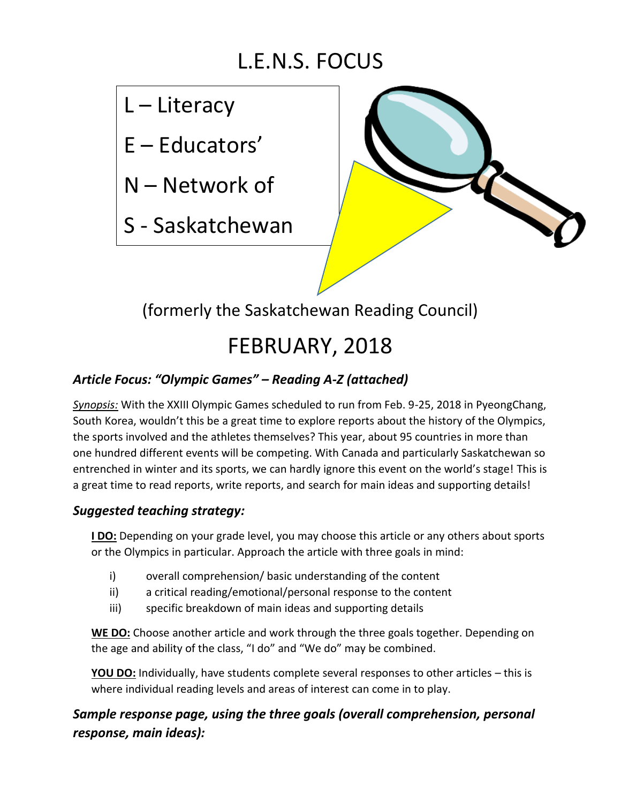# L.E.N.S. FOCUS

# L – Literacy

E – Educators'

N – Network of

S - Saskatchewan



(formerly the Saskatchewan Reading Council)

# FEBRUARY, 2018

## *Article Focus: "Olympic Games" – Reading A-Z (attached)*

*Synopsis:* With the XXIII Olympic Games scheduled to run from Feb. 9-25, 2018 in PyeongChang, South Korea, wouldn't this be a great time to explore reports about the history of the Olympics, the sports involved and the athletes themselves? This year, about 95 countries in more than one hundred different events will be competing. With Canada and particularly Saskatchewan so entrenched in winter and its sports, we can hardly ignore this event on the world's stage! This is a great time to read reports, write reports, and search for main ideas and supporting details!

### *Suggested teaching strategy:*

**I DO:** Depending on your grade level, you may choose this article or any others about sports or the Olympics in particular. Approach the article with three goals in mind:

- i) overall comprehension/ basic understanding of the content
- ii) a critical reading/emotional/personal response to the content
- iii) specific breakdown of main ideas and supporting details

**WE DO:** Choose another article and work through the three goals together. Depending on the age and ability of the class, "I do" and "We do" may be combined.

**YOU DO:** Individually, have students complete several responses to other articles – this is where individual reading levels and areas of interest can come in to play.

*Sample response page, using the three goals (overall comprehension, personal response, main ideas):*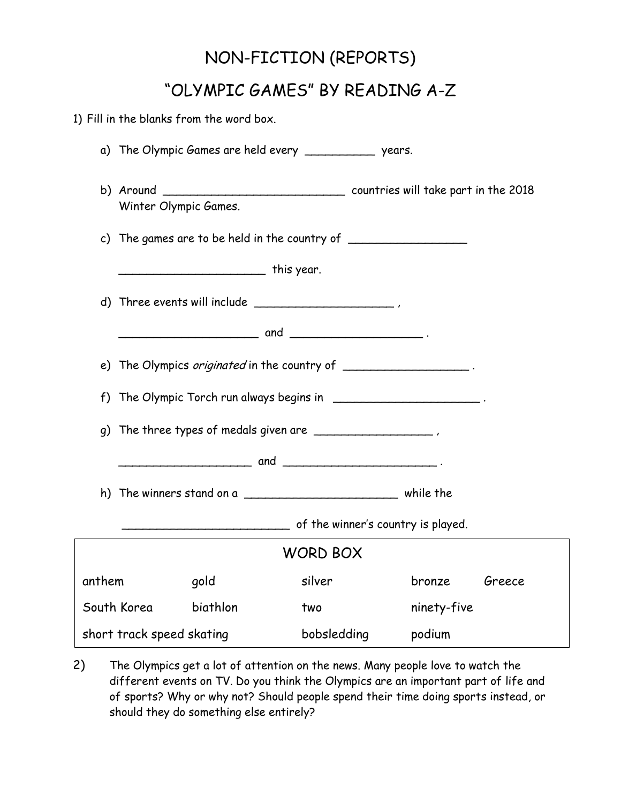## NON-FICTION (REPORTS)

## "OLYMPIC GAMES" BY READING A-Z

|                                                                           |        |                                                                                  | 1) Fill in the blanks from the word box. |                                                           |             |        |  |  |  |  |  |  |  |  |                                    |  |  |  |
|---------------------------------------------------------------------------|--------|----------------------------------------------------------------------------------|------------------------------------------|-----------------------------------------------------------|-------------|--------|--|--|--|--|--|--|--|--|------------------------------------|--|--|--|
|                                                                           |        |                                                                                  |                                          | a) The Olympic Games are held every ______________ years. |             |        |  |  |  |  |  |  |  |  |                                    |  |  |  |
|                                                                           |        |                                                                                  | Winter Olympic Games.                    |                                                           |             |        |  |  |  |  |  |  |  |  |                                    |  |  |  |
|                                                                           |        | c) The games are to be held in the country of __________________________________ |                                          |                                                           |             |        |  |  |  |  |  |  |  |  |                                    |  |  |  |
|                                                                           |        |                                                                                  | ___________________________ this year.   |                                                           |             |        |  |  |  |  |  |  |  |  |                                    |  |  |  |
|                                                                           |        |                                                                                  |                                          | d) Three events will include $\qquad \qquad$              |             |        |  |  |  |  |  |  |  |  |                                    |  |  |  |
|                                                                           |        |                                                                                  |                                          |                                                           |             |        |  |  |  |  |  |  |  |  |                                    |  |  |  |
|                                                                           |        | e) The Olympics <i>originated</i> in the country of ___________________.         |                                          |                                                           |             |        |  |  |  |  |  |  |  |  |                                    |  |  |  |
| f) The Olympic Torch run always begins in ______________________________. |        |                                                                                  |                                          |                                                           |             |        |  |  |  |  |  |  |  |  |                                    |  |  |  |
|                                                                           |        |                                                                                  |                                          |                                                           |             |        |  |  |  |  |  |  |  |  |                                    |  |  |  |
|                                                                           |        |                                                                                  |                                          |                                                           |             |        |  |  |  |  |  |  |  |  | of the winner's country is played. |  |  |  |
|                                                                           |        |                                                                                  |                                          | <b>WORD BOX</b>                                           |             |        |  |  |  |  |  |  |  |  |                                    |  |  |  |
|                                                                           | anthem |                                                                                  | gold                                     | silver                                                    | bronze      | Greece |  |  |  |  |  |  |  |  |                                    |  |  |  |
|                                                                           |        | South Korea                                                                      | biathlon                                 | two                                                       | ninety-five |        |  |  |  |  |  |  |  |  |                                    |  |  |  |
| short track speed skating                                                 |        |                                                                                  |                                          | bobsledding                                               | podium      |        |  |  |  |  |  |  |  |  |                                    |  |  |  |

2) The Olympics get a lot of attention on the news. Many people love to watch the different events on TV. Do you think the Olympics are an important part of life and of sports? Why or why not? Should people spend their time doing sports instead, or should they do something else entirely?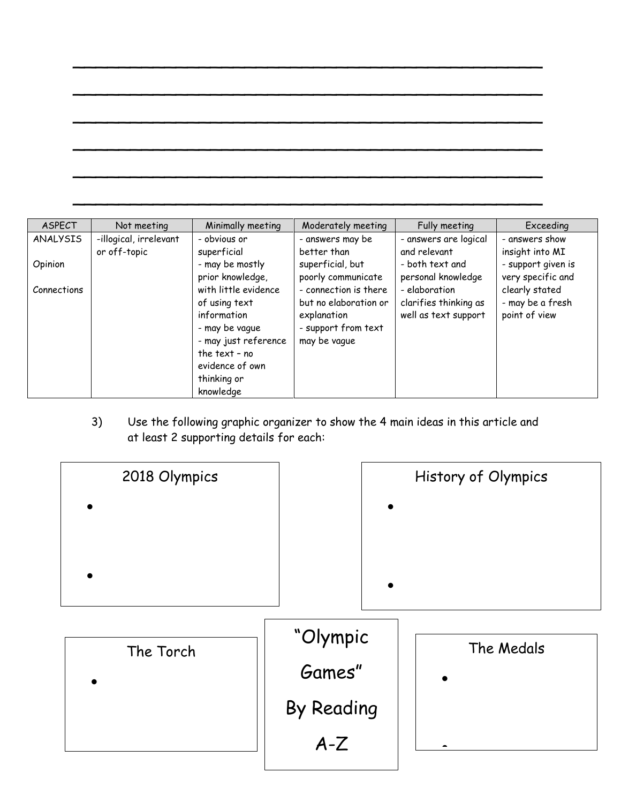| ASPECT          | Not meeting                            | Minimally meeting                                                                                                                                                | Moderately meeting                                                                                   | Fully meeting                                                  | Exceeding                                           |
|-----------------|----------------------------------------|------------------------------------------------------------------------------------------------------------------------------------------------------------------|------------------------------------------------------------------------------------------------------|----------------------------------------------------------------|-----------------------------------------------------|
| <b>ANALYSIS</b> | -illogical, irrelevant<br>or off-topic | - obvious or<br>superficial                                                                                                                                      | - answers may be<br>better than                                                                      | - answers are logical<br>and relevant                          | - answers show<br>insight into MI                   |
| Opinion         |                                        | - may be mostly<br>prior knowledge,                                                                                                                              | superficial, but<br>poorly communicate                                                               | - both text and<br>personal knowledge                          | - support given is<br>very specific and             |
| Connections     |                                        | with little evidence<br>of using text<br>information<br>- may be vague<br>- may just reference<br>the text - $no$<br>evidence of own<br>thinking or<br>knowledge | - connection is there<br>but no elaboration or<br>explanation<br>- support from text<br>may be vague | - elaboration<br>clarifies thinking as<br>well as text support | clearly stated<br>- may be a fresh<br>point of view |

 $\sim$  . The set of the set of the set of the set of the set of the set of the set of the set of the set of the set of the set

 $\sim$  . The contract of the contract of the contract of the contract of the contract of the contract of the contract of

 $\sim$  . The contract of the contract of the contract of the contract of the contract of the contract of the contract of

 $\sim$  1 and 2 and 2 and 2 and 2 and 2 and 2 and 2 and 2 and 2 and 2 and 2 and 2 and 2 and 2 and 2 and 2 and 2 and

 $\sim$  . The set of the set of the set of the set of the set of the set of the set of the set of the set of the set of the set

 $\sim$  . The set of the set of the set of the set of the set of the set of the set of the set of the set of the set of the set

3) Use the following graphic organizer to show the 4 main ideas in this article and at least 2 supporting details for each: